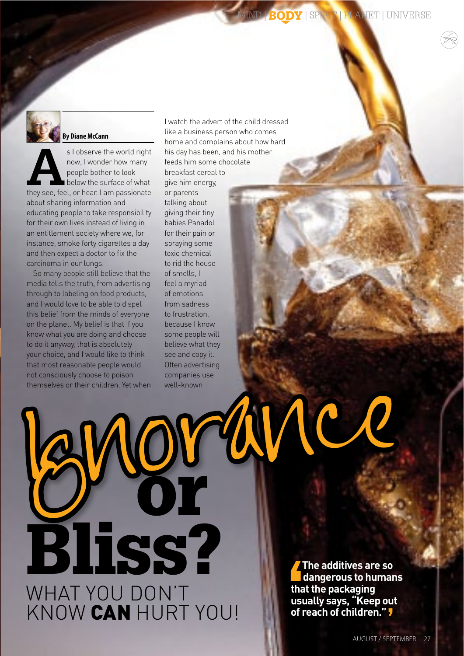

### **By Diane McCann**

s I observe the world right now, I wonder how many people bother to look below the surface of what they see, feel, or hear. I am passionate about sharing information and educating people to take responsibility for their own lives instead of living in an entitlement society where we, for instance, smoke forty cigarettes a day and then expect a doctor to fix the carcinoma in our lungs.

So many people still believe that the media tells the truth, from advertising through to labeling on food products, and I would love to be able to dispel this belief from the minds of everyone on the planet. My belief is that if you know what you are doing and choose to do it anyway, that is absolutely your choice, and I would like to think that most reasonable people would not consciously choose to poison themselves or their children. Yet when

**Bliss?** 

WHAT YOU DON'T<br>KNOW CAN HURT YOU!

I watch the advert of the child dressed like a business person who comes home and complains about how hard his day has been, and his mother feeds him some chocolate breakfast cereal to aive him energy, or parents talking about giving their tiny babies Panadol for their pain or spraying some toxic chemical to rid the house of smells. I feel a myriad of emotions from sadness to frustration because I know some people will believe what they see and copy it. Often advertising companies use well-known **RortyNe** 

> The additives are so dangerous to humans that the packaging usually says, "Keep out<br>of reach of children." ,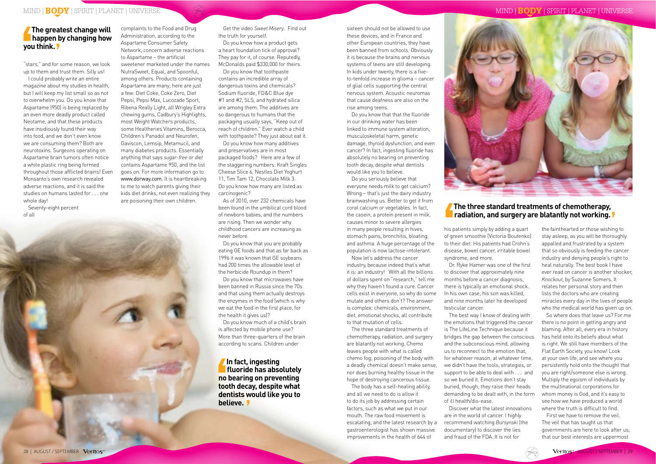"stars," and for some reason, we look up to them and trust them. Silly us!

I could probably write an entire magazine about my studies in health, but I will keep my list small so as not to overwhelm you. Do you know that Aspartame (950) is being replaced by an even more deadly product called Neotame, and that these products have insidiously found their way into food, and we don't even know we are consuming them? Both are neurotoxins. Surgeons operating on Aspartame brain tumors often notice a white plastic ring being formed throughout those afflicted brains! Even Monsanto's own research revealed adverse reactions, and it is said the studies on humans lasted for . . . one whole day!

Seventy-eight percent of all

complaints to the Food and Drug

Administration, according to the Aspartame Consumer Safety Network, concern adverse reactions to Aspartame – the artificial sweetener marketed under the names NutraSweet, Equal, and Spoonful, among others. Products containing Aspartame are many; here are just a few: Diet Coke, Coke Zero, Diet Pepsi, Pepsi Max, Lucozade Sport, Ribena Really Light, all Wrigley Extra chewing gums, Cadbury's Highlights, most Weight Watchers products, some Healtheries Vitamins, Berocca, Children's Panadol and Neurofen, Gaviscon, Lemsip, Metamucil, and many diabetes products. Essentially anything that says *sugar-free* or *diet*  contains Aspartame 950, and the list goes on. For more information go to www.dorway.com. It is heartbreaking to me to watch parents giving their kids diet drinks, not even realizing they are poisoning their own children.

Get the video *Sweet Misery*. Find out the truth for yourself.

Do you know how a product gets a heart foundation tick of approval? They pay for it, of course. Reputedly, McDonalds paid \$330,000 for theirs.

Do you know that toothpaste contains an incredible array of dangerous toxins and chemicals? Sodium fluoride, FD&C Blue dye #1 and #2, SLS, and hydrated silica are among them. The additives are so dangerous to humans that the packaging usually says, "Keep out of reach of children." Ever watch a child with toothpaste? They just about eat it.

Do you know how many additives and preservatives are in most packaged foods? Here are a few of the staggering numbers: Kraft Singles Cheese Slice 6, Nestles Diet Yoghurt 11, Tim Tam 12, Chocolate Milk 3. Do you know how many are listed as carcinogenic?

As of 2010, over 232 chemicals have been found in the umbilical cord blood of newborn babies, and the numbers are rising. Then we wonder why childhood cancers are increasing as never before.

Do you know that you are probably eating GE foods and that as far back as 1996 it was known that GE soybeans had 200 times the allowable level of the herbicide Roundup in them?

Do you know that microwaves have been banned in Russia since the 70s and that using them actually destroys the enzymes in the food (which is why we eat the food in the first place, for the health it gives us)?

Do you know much of a child's brain is affected by mobile phone use? More than three-quarters of the brain according to scans. Children under

sixteen should not be allowed to use these devices, and in France and other European countries, they have been banned from schools. Obviously it is because the brains and nervous systems of teens are still developing. In kids under twenty, there is a fiveto-tenfold increase in glioma – cancer of glial cells supporting the central nervous system. Acoustic neuromas that cause deafness are also on the rise among teens.

Do you know that that the fluoride in our drinking water has been linked to immune system alteration, musculoskeletal harm, genetic damage, thyroid dysfunction, and even cancer? In fact, ingesting fluoride has absolutely no bearing on preventing tooth decay, despite what dentists would like you to believe.

Do you seriously believe that everyone needs milk to get calcium? Wrong – that's just the dairy industry brainwashing us. Better to get it from coral calcium or vegetables. In fact, the casein, a protein present in milk, causes minor to severe allergies in many people resulting in hives, stomach pains, bronchitis, bloating, and asthma. A huge percentage of the population is now lactose-intolerant.

Now let's address the cancer industry, because indeed that's what it is: an industry! With all the billions of dollars spent on "research," tell me why they haven't found a cure. Cancer cells exist in everyone, so why do some mutate and others don't? The answer is complex: chemicals, environment, diet, emotional shocks, all contribute to that mutation of cells.

The three standard treatments of chemotherapy, radiation, and surgery are blatantly not working. Chemo leaves people with what is called chemo fog; poisoning of the body with a deadly chemical doesn't make sense, nor does burning healthy tissue in the hope of destroying cancerous tissue.

The body has a self-healing ability, and all we need to do is allow it to do its job by addressing certain factors, such as what we put in our mouth. The raw food movement is escalating, and the latest research by a gastroenterologist has shown massive improvements in the health of 644 of

his patients simply by adding a quart of green smoothie (Victoria Boutenko) to their diet. His patients had Crohn's disease, bowel cancer, irritable bowel syndrome, and more.

Dr. Ryke Hamer was one of the first to discover that approximately nine months before a cancer diagnosis, there is typically an emotional shock. In his own case, his son was killed, and nine months later he developed testicular cancer.

The best way I know of dealing with the emotions that triggered the cancer is The LifeLine Technique because it bridges the gap between the conscious and the subconscious mind, allowing us to reconnect to the emotion that, for whatever reason, at whatever time, we didn't have the tools, strategies, or support to be able to deal with . . . and so we buried it. Emotions don't stay buried, though; they raise their heads demanding to be dealt with, in the form of ill health/dis-ease.

Discover what the latest innovations are in the world of cancer. I highly recommend watching *Bursynski* (the documentary) to discover the lies and fraud of the FDA. It is not for

the fainthearted or those wishing to stay asleep, as you will be thoroughly appalled and frustrated by a system that so obviously is feeding the cancer industry and denying people's right to heal naturally. The best book I have ever read on cancer is another shocker, *Knockout*, by Suzanne Somers. It relates her personal story and then lists the doctors who are creating miracles every day in the lives of people who the medical world has given up on.

So where does that leave us? For me there is no point in getting angry and blaming. After all, every era in history has held onto its beliefs about what is right. We still have members of the Flat Earth Society, you know! Look at your own life, and see where you persistently hold onto the thought that you are right/someone else is wrong. Multiply the egoism of individuals by the multinational corporations for whom money is God, and it's easy to see how we have produced a world where the truth is difficult to find.

First we have to remove the veil. The veil that has taught us that governments are here to look after us, that our best interests are uppermost

## **The three standard treatments of chemotherapy, radiation, and surgery are blatantly not working.**

**In fact, ingesting fluoride has absolutely no bearing on preventing tooth decay, despite what dentists would like you to believe.** 

# **The greatest change will happen by changing how you think.**